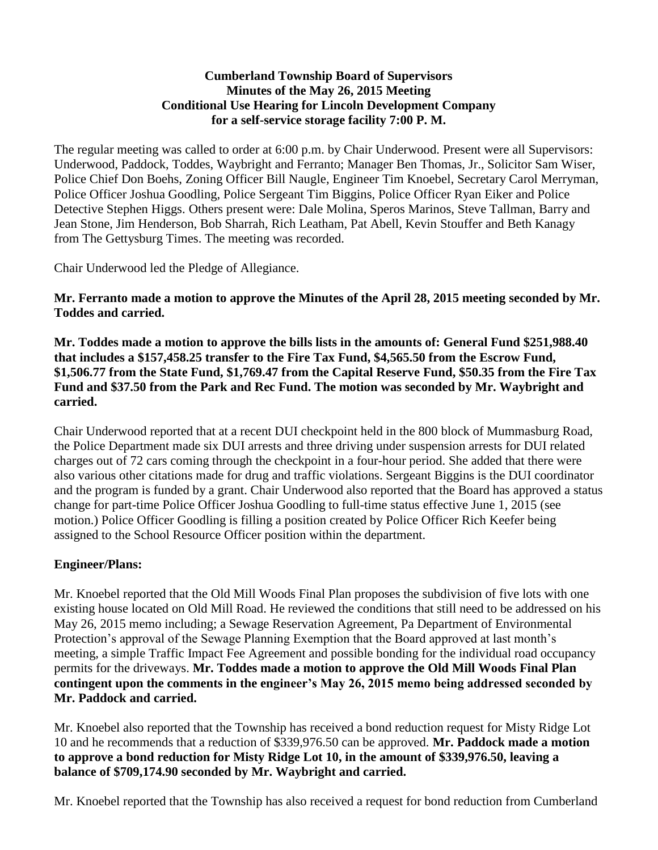#### **Cumberland Township Board of Supervisors Minutes of the May 26, 2015 Meeting Conditional Use Hearing for Lincoln Development Company for a self-service storage facility 7:00 P. M.**

The regular meeting was called to order at 6:00 p.m. by Chair Underwood. Present were all Supervisors: Underwood, Paddock, Toddes, Waybright and Ferranto; Manager Ben Thomas, Jr., Solicitor Sam Wiser, Police Chief Don Boehs, Zoning Officer Bill Naugle, Engineer Tim Knoebel, Secretary Carol Merryman, Police Officer Joshua Goodling, Police Sergeant Tim Biggins, Police Officer Ryan Eiker and Police Detective Stephen Higgs. Others present were: Dale Molina, Speros Marinos, Steve Tallman, Barry and Jean Stone, Jim Henderson, Bob Sharrah, Rich Leatham, Pat Abell, Kevin Stouffer and Beth Kanagy from The Gettysburg Times. The meeting was recorded.

Chair Underwood led the Pledge of Allegiance.

**Mr. Ferranto made a motion to approve the Minutes of the April 28, 2015 meeting seconded by Mr. Toddes and carried.**

**Mr. Toddes made a motion to approve the bills lists in the amounts of: General Fund \$251,988.40 that includes a \$157,458.25 transfer to the Fire Tax Fund, \$4,565.50 from the Escrow Fund, \$1,506.77 from the State Fund, \$1,769.47 from the Capital Reserve Fund, \$50.35 from the Fire Tax Fund and \$37.50 from the Park and Rec Fund. The motion was seconded by Mr. Waybright and carried.**

Chair Underwood reported that at a recent DUI checkpoint held in the 800 block of Mummasburg Road, the Police Department made six DUI arrests and three driving under suspension arrests for DUI related charges out of 72 cars coming through the checkpoint in a four-hour period. She added that there were also various other citations made for drug and traffic violations. Sergeant Biggins is the DUI coordinator and the program is funded by a grant. Chair Underwood also reported that the Board has approved a status change for part-time Police Officer Joshua Goodling to full-time status effective June 1, 2015 (see motion.) Police Officer Goodling is filling a position created by Police Officer Rich Keefer being assigned to the School Resource Officer position within the department.

# **Engineer/Plans:**

Mr. Knoebel reported that the Old Mill Woods Final Plan proposes the subdivision of five lots with one existing house located on Old Mill Road. He reviewed the conditions that still need to be addressed on his May 26, 2015 memo including; a Sewage Reservation Agreement, Pa Department of Environmental Protection's approval of the Sewage Planning Exemption that the Board approved at last month's meeting, a simple Traffic Impact Fee Agreement and possible bonding for the individual road occupancy permits for the driveways. **Mr. Toddes made a motion to approve the Old Mill Woods Final Plan contingent upon the comments in the engineer's May 26, 2015 memo being addressed seconded by Mr. Paddock and carried.** 

Mr. Knoebel also reported that the Township has received a bond reduction request for Misty Ridge Lot 10 and he recommends that a reduction of \$339,976.50 can be approved. **Mr. Paddock made a motion to approve a bond reduction for Misty Ridge Lot 10, in the amount of \$339,976.50, leaving a balance of \$709,174.90 seconded by Mr. Waybright and carried.**

Mr. Knoebel reported that the Township has also received a request for bond reduction from Cumberland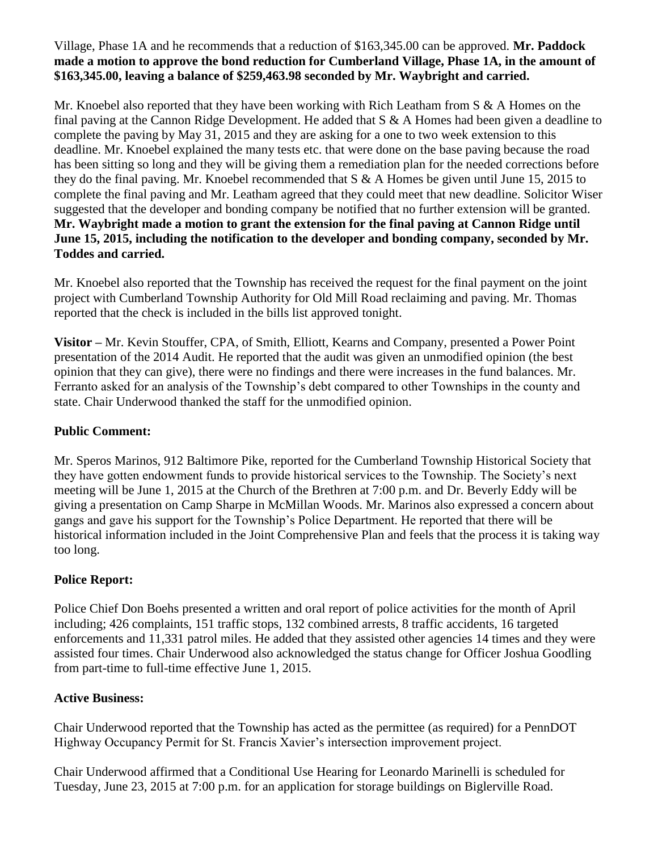## Village, Phase 1A and he recommends that a reduction of \$163,345.00 can be approved. **Mr. Paddock made a motion to approve the bond reduction for Cumberland Village, Phase 1A, in the amount of \$163,345.00, leaving a balance of \$259,463.98 seconded by Mr. Waybright and carried.**

Mr. Knoebel also reported that they have been working with Rich Leatham from S & A Homes on the final paving at the Cannon Ridge Development. He added that S & A Homes had been given a deadline to complete the paving by May 31, 2015 and they are asking for a one to two week extension to this deadline. Mr. Knoebel explained the many tests etc. that were done on the base paving because the road has been sitting so long and they will be giving them a remediation plan for the needed corrections before they do the final paving. Mr. Knoebel recommended that S & A Homes be given until June 15, 2015 to complete the final paving and Mr. Leatham agreed that they could meet that new deadline. Solicitor Wiser suggested that the developer and bonding company be notified that no further extension will be granted. **Mr. Waybright made a motion to grant the extension for the final paving at Cannon Ridge until June 15, 2015, including the notification to the developer and bonding company, seconded by Mr. Toddes and carried.**

Mr. Knoebel also reported that the Township has received the request for the final payment on the joint project with Cumberland Township Authority for Old Mill Road reclaiming and paving. Mr. Thomas reported that the check is included in the bills list approved tonight.

**Visitor –** Mr. Kevin Stouffer, CPA, of Smith, Elliott, Kearns and Company, presented a Power Point presentation of the 2014 Audit. He reported that the audit was given an unmodified opinion (the best opinion that they can give), there were no findings and there were increases in the fund balances. Mr. Ferranto asked for an analysis of the Township's debt compared to other Townships in the county and state. Chair Underwood thanked the staff for the unmodified opinion.

## **Public Comment:**

Mr. Speros Marinos, 912 Baltimore Pike, reported for the Cumberland Township Historical Society that they have gotten endowment funds to provide historical services to the Township. The Society's next meeting will be June 1, 2015 at the Church of the Brethren at 7:00 p.m. and Dr. Beverly Eddy will be giving a presentation on Camp Sharpe in McMillan Woods. Mr. Marinos also expressed a concern about gangs and gave his support for the Township's Police Department. He reported that there will be historical information included in the Joint Comprehensive Plan and feels that the process it is taking way too long.

# **Police Report:**

Police Chief Don Boehs presented a written and oral report of police activities for the month of April including; 426 complaints, 151 traffic stops, 132 combined arrests, 8 traffic accidents, 16 targeted enforcements and 11,331 patrol miles. He added that they assisted other agencies 14 times and they were assisted four times. Chair Underwood also acknowledged the status change for Officer Joshua Goodling from part-time to full-time effective June 1, 2015.

# **Active Business:**

Chair Underwood reported that the Township has acted as the permittee (as required) for a PennDOT Highway Occupancy Permit for St. Francis Xavier's intersection improvement project.

Chair Underwood affirmed that a Conditional Use Hearing for Leonardo Marinelli is scheduled for Tuesday, June 23, 2015 at 7:00 p.m. for an application for storage buildings on Biglerville Road.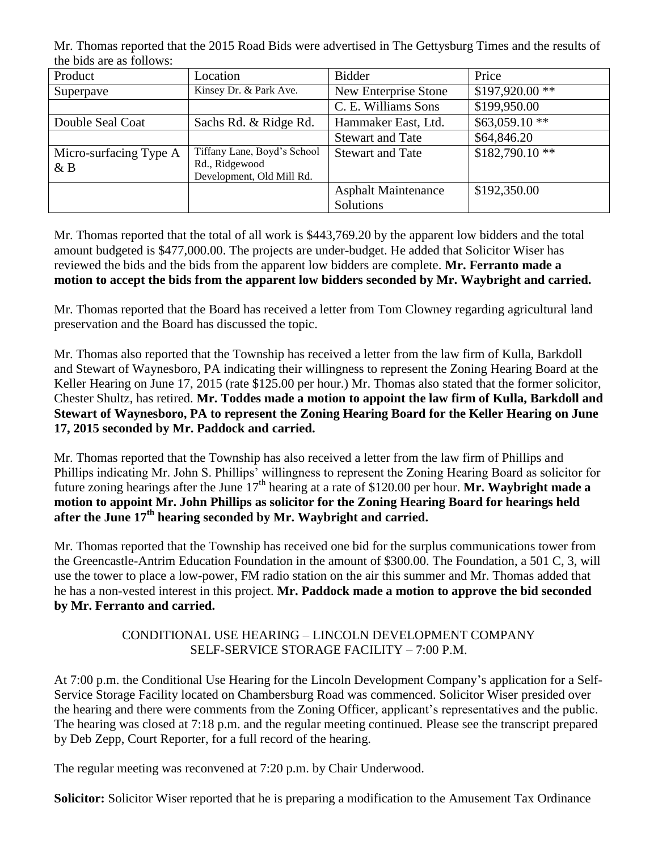Mr. Thomas reported that the 2015 Road Bids were advertised in The Gettysburg Times and the results of the bids are as follows:

| Product                      | Location                                                                   | Bidder                     | Price            |
|------------------------------|----------------------------------------------------------------------------|----------------------------|------------------|
| Superpave                    | Kinsey Dr. & Park Ave.                                                     | New Enterprise Stone       | $$197,920.00$ ** |
|                              |                                                                            | C. E. Williams Sons        | \$199,950.00     |
| Double Seal Coat             | Sachs Rd. & Ridge Rd.                                                      | Hammaker East, Ltd.        | $$63,059.10**$   |
|                              |                                                                            | <b>Stewart and Tate</b>    | \$64,846.20      |
| Micro-surfacing Type A<br>&B | Tiffany Lane, Boyd's School<br>Rd., Ridgewood<br>Development, Old Mill Rd. | <b>Stewart and Tate</b>    | $$182,790.10**$  |
|                              |                                                                            | <b>Asphalt Maintenance</b> | \$192,350.00     |
|                              |                                                                            | Solutions                  |                  |

Mr. Thomas reported that the total of all work is \$443,769.20 by the apparent low bidders and the total amount budgeted is \$477,000.00. The projects are under-budget. He added that Solicitor Wiser has reviewed the bids and the bids from the apparent low bidders are complete. **Mr. Ferranto made a motion to accept the bids from the apparent low bidders seconded by Mr. Waybright and carried.** 

Mr. Thomas reported that the Board has received a letter from Tom Clowney regarding agricultural land preservation and the Board has discussed the topic.

Mr. Thomas also reported that the Township has received a letter from the law firm of Kulla, Barkdoll and Stewart of Waynesboro, PA indicating their willingness to represent the Zoning Hearing Board at the Keller Hearing on June 17, 2015 (rate \$125.00 per hour.) Mr. Thomas also stated that the former solicitor, Chester Shultz, has retired. **Mr. Toddes made a motion to appoint the law firm of Kulla, Barkdoll and Stewart of Waynesboro, PA to represent the Zoning Hearing Board for the Keller Hearing on June 17, 2015 seconded by Mr. Paddock and carried.** 

Mr. Thomas reported that the Township has also received a letter from the law firm of Phillips and Phillips indicating Mr. John S. Phillips' willingness to represent the Zoning Hearing Board as solicitor for future zoning hearings after the June 17<sup>th</sup> hearing at a rate of \$120.00 per hour. **Mr. Waybright made a motion to appoint Mr. John Phillips as solicitor for the Zoning Hearing Board for hearings held after the June 17th hearing seconded by Mr. Waybright and carried.** 

Mr. Thomas reported that the Township has received one bid for the surplus communications tower from the Greencastle-Antrim Education Foundation in the amount of \$300.00. The Foundation, a 501 C, 3, will use the tower to place a low-power, FM radio station on the air this summer and Mr. Thomas added that he has a non-vested interest in this project. **Mr. Paddock made a motion to approve the bid seconded by Mr. Ferranto and carried.**

## CONDITIONAL USE HEARING – LINCOLN DEVELOPMENT COMPANY SELF-SERVICE STORAGE FACILITY – 7:00 P.M.

At 7:00 p.m. the Conditional Use Hearing for the Lincoln Development Company's application for a Self-Service Storage Facility located on Chambersburg Road was commenced. Solicitor Wiser presided over the hearing and there were comments from the Zoning Officer, applicant's representatives and the public. The hearing was closed at 7:18 p.m. and the regular meeting continued. Please see the transcript prepared by Deb Zepp, Court Reporter, for a full record of the hearing.

The regular meeting was reconvened at 7:20 p.m. by Chair Underwood.

**Solicitor:** Solicitor Wiser reported that he is preparing a modification to the Amusement Tax Ordinance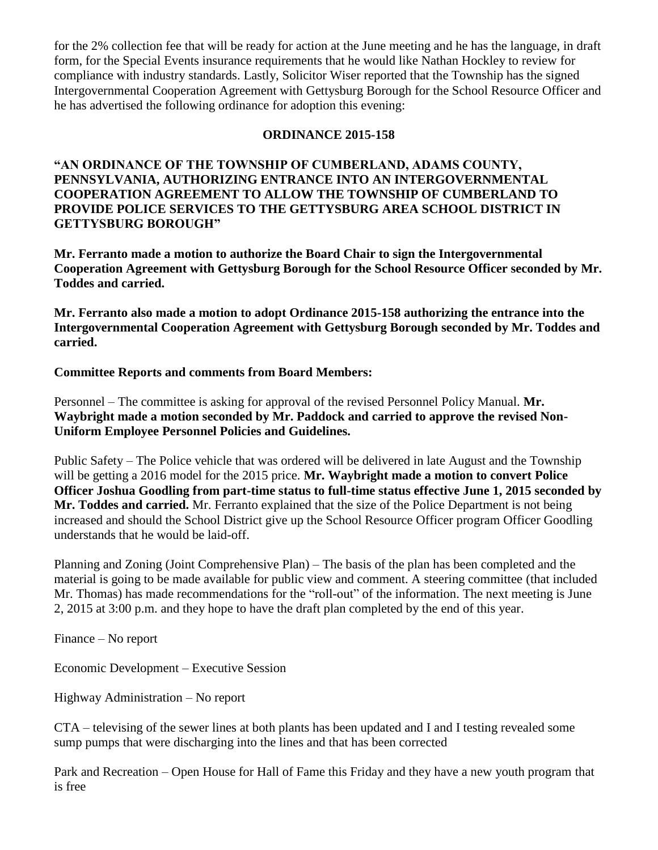for the 2% collection fee that will be ready for action at the June meeting and he has the language, in draft form, for the Special Events insurance requirements that he would like Nathan Hockley to review for compliance with industry standards. Lastly, Solicitor Wiser reported that the Township has the signed Intergovernmental Cooperation Agreement with Gettysburg Borough for the School Resource Officer and he has advertised the following ordinance for adoption this evening:

#### **ORDINANCE 2015-158**

**"AN ORDINANCE OF THE TOWNSHIP OF CUMBERLAND, ADAMS COUNTY, PENNSYLVANIA, AUTHORIZING ENTRANCE INTO AN INTERGOVERNMENTAL COOPERATION AGREEMENT TO ALLOW THE TOWNSHIP OF CUMBERLAND TO PROVIDE POLICE SERVICES TO THE GETTYSBURG AREA SCHOOL DISTRICT IN GETTYSBURG BOROUGH"**

**Mr. Ferranto made a motion to authorize the Board Chair to sign the Intergovernmental Cooperation Agreement with Gettysburg Borough for the School Resource Officer seconded by Mr. Toddes and carried.**

**Mr. Ferranto also made a motion to adopt Ordinance 2015-158 authorizing the entrance into the Intergovernmental Cooperation Agreement with Gettysburg Borough seconded by Mr. Toddes and carried.**

#### **Committee Reports and comments from Board Members:**

Personnel – The committee is asking for approval of the revised Personnel Policy Manual. **Mr. Waybright made a motion seconded by Mr. Paddock and carried to approve the revised Non-Uniform Employee Personnel Policies and Guidelines.**

Public Safety – The Police vehicle that was ordered will be delivered in late August and the Township will be getting a 2016 model for the 2015 price. **Mr. Waybright made a motion to convert Police Officer Joshua Goodling from part-time status to full-time status effective June 1, 2015 seconded by Mr. Toddes and carried.** Mr. Ferranto explained that the size of the Police Department is not being increased and should the School District give up the School Resource Officer program Officer Goodling understands that he would be laid-off.

Planning and Zoning (Joint Comprehensive Plan) – The basis of the plan has been completed and the material is going to be made available for public view and comment. A steering committee (that included Mr. Thomas) has made recommendations for the "roll-out" of the information. The next meeting is June 2, 2015 at 3:00 p.m. and they hope to have the draft plan completed by the end of this year.

Finance – No report

Economic Development – Executive Session

Highway Administration – No report

CTA – televising of the sewer lines at both plants has been updated and I and I testing revealed some sump pumps that were discharging into the lines and that has been corrected

Park and Recreation – Open House for Hall of Fame this Friday and they have a new youth program that is free